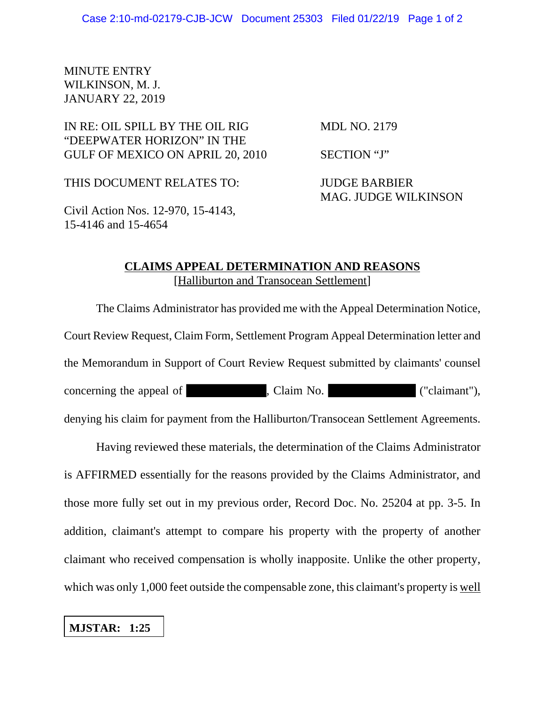## MINUTE ENTRY WILKINSON, M. J. JANUARY 22, 2019

## IN RE: OIL SPILL BY THE OIL RIG MDL NO. 2179 "DEEPWATER HORIZON" IN THE GULF OF MEXICO ON APRIL 20, 2010 SECTION "J"

THIS DOCUMENT RELATES TO: JUDGE BARBIER MAG. JUDGE WILKINSON

Civil Action Nos. 12-970, 15-4143, 15-4146 and 15-4654

## **CLAIMS APPEAL DETERMINATION AND REASONS** [Halliburton and Transocean Settlement]

The Claims Administrator has provided me with the Appeal Determination Notice, Court Review Request, Claim Form, Settlement Program Appeal Determination letter and the Memorandum in Support of Court Review Request submitted by claimants' counsel concerning the appeal of , Claim No. ("claimant"), denying his claim for payment from the Halliburton/Transocean Settlement Agreements.

Having reviewed these materials, the determination of the Claims Administrator is AFFIRMED essentially for the reasons provided by the Claims Administrator, and those more fully set out in my previous order, Record Doc. No. 25204 at pp. 3-5. In addition, claimant's attempt to compare his property with the property of another claimant who received compensation is wholly inapposite. Unlike the other property, which was only 1,000 feet outside the compensable zone, this claimant's property is well

## **MJSTAR: 1:25**